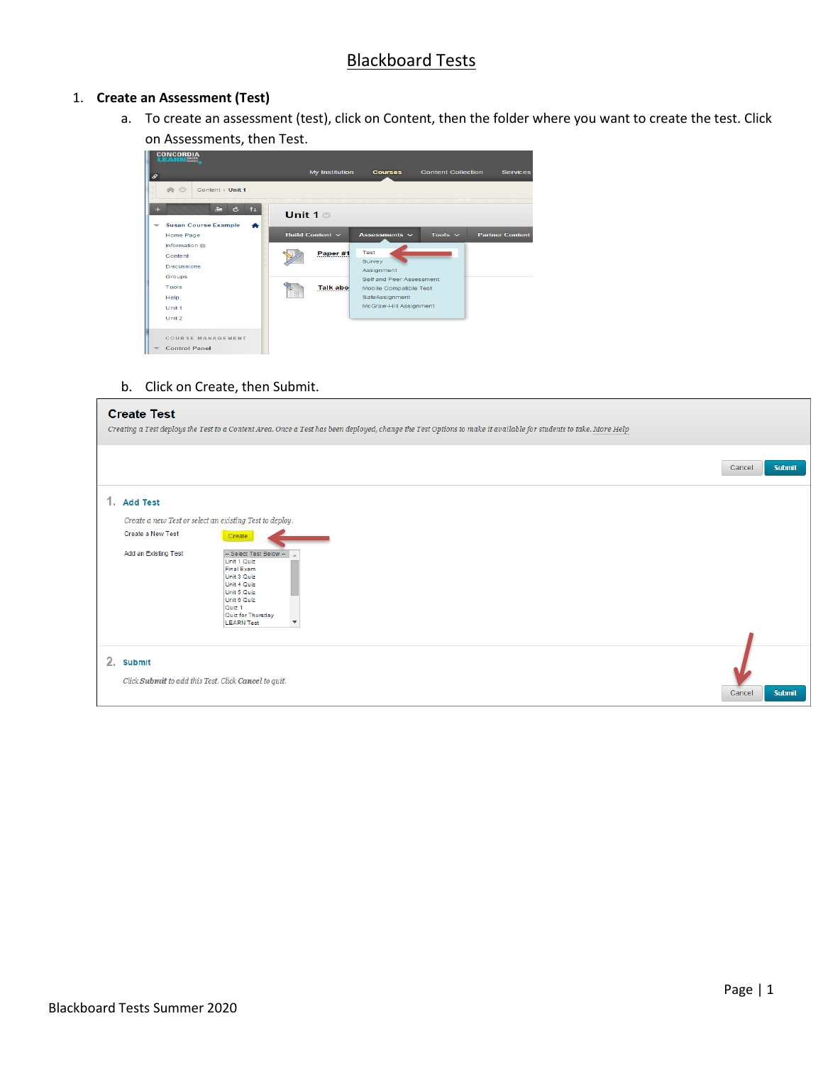# Blackboard Tests

### 1. **Create an Assessment (Test)**

a. To create an assessment (test), click on Content, then the folder where you want to create the test. Click on Assessments, then Test.



b. Click on Create, then Submit.

|    | <b>Create Test</b>                                                                                                         | Creating a Test deploys the Test to a Content Area. Once a Test has been deployed, change the Test Options to make it available for students to take. More Help                        |                         |
|----|----------------------------------------------------------------------------------------------------------------------------|----------------------------------------------------------------------------------------------------------------------------------------------------------------------------------------|-------------------------|
|    |                                                                                                                            |                                                                                                                                                                                        | <b>Submit</b><br>Cancel |
|    | 1. Add Test<br>Create a new Test or select an existing Test to deploy.<br><b>Create a New Test</b><br>Add an Existing Test | Create<br>- Select Test Below-<br>Unit 1 Quiz<br>Final Exam<br>Unit 3 Quiz<br>Unit 4 Quiz<br>Unit 5 Quiz<br>Unit 6 Quiz<br>Quiz <sub>1</sub><br>Quiz for Thursday<br><b>LEARN Test</b> |                         |
| 2. | <b>Submit</b><br>Click Submit to add this Test. Click Cancel to quit.                                                      |                                                                                                                                                                                        | <b>Submit</b><br>Cancel |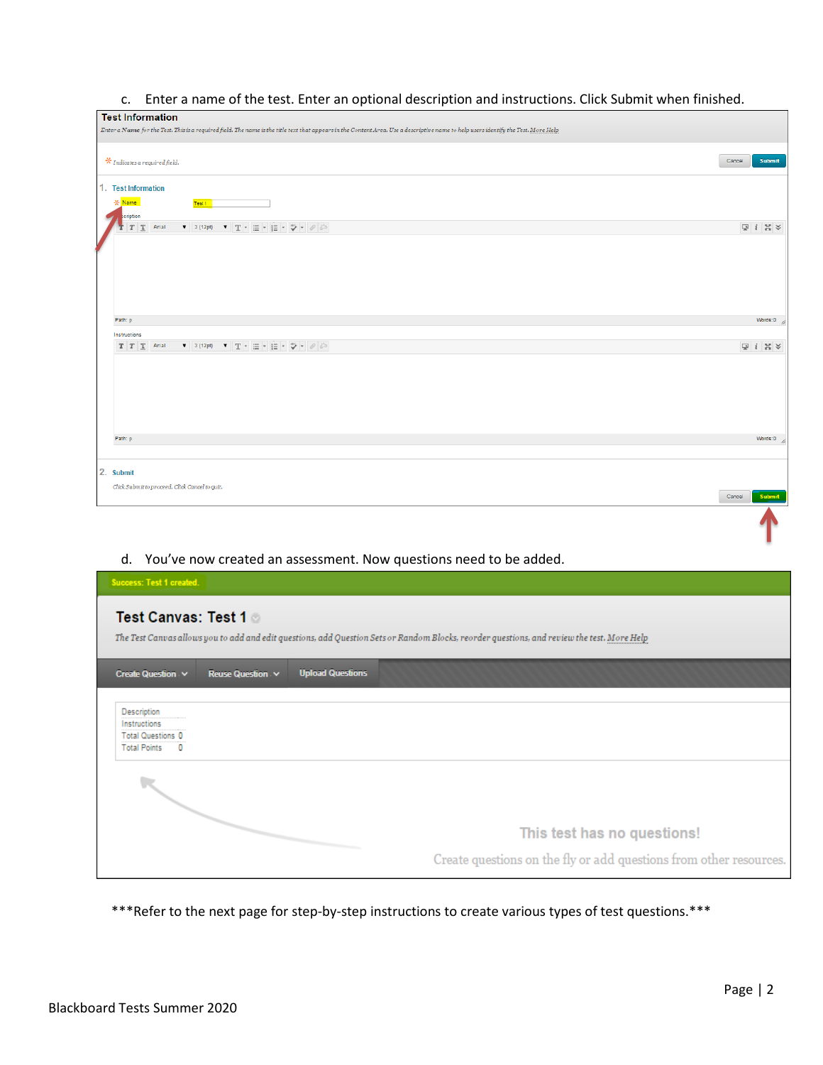## c. Enter a name of the test. Enter an optional description and instructions. Click Submit when finished.

| <b>Test Information</b>                                                                                                                                                             |        |                                                          |  |
|-------------------------------------------------------------------------------------------------------------------------------------------------------------------------------------|--------|----------------------------------------------------------|--|
| Enter a Name for the Test. This is a required field. The name is the title text that appears in the Content Area. Use a descriptive name to help users identify the Test. More Help |        |                                                          |  |
| $*$ Indicates a required field.                                                                                                                                                     | Cancel | <b>Submit</b>                                            |  |
| 1. Test Information<br>- Name<br>Test 1                                                                                                                                             |        |                                                          |  |
| scription                                                                                                                                                                           |        |                                                          |  |
| ▼ 3 (12pt) ▼ T - 三 - 三 - ⇒ → クジ<br>$T$ T<br>Arial                                                                                                                                   |        | $\boxed{\mathbb{Q}}\ \ \  i\ \ \mathbb{M}\ \ \mathbb{V}$ |  |
| Path: p                                                                                                                                                                             |        | Words:0                                                  |  |
| Instructions                                                                                                                                                                        |        |                                                          |  |
| ▼ 3 (12pt) ▼ T - 三 - 三 - ⇒ → クジ<br>$T$ $T$ $T$ Arial                                                                                                                                |        | $\Box i \times \times$                                   |  |
| Path: p                                                                                                                                                                             |        | Words:0                                                  |  |
|                                                                                                                                                                                     |        |                                                          |  |
| 2. Submit<br>Click Submit to proceed. Click Cancel to quit.                                                                                                                         |        |                                                          |  |
|                                                                                                                                                                                     | Cancel | Submit                                                   |  |
|                                                                                                                                                                                     |        |                                                          |  |

## d. You've now created an assessment. Now questions need to be added.

| <b>Success: Test 1 created.</b>                                                                                                                                    |                                                                                                   |
|--------------------------------------------------------------------------------------------------------------------------------------------------------------------|---------------------------------------------------------------------------------------------------|
| Test Canvas: Test 1<br>The Test Canvas allows you to add and edit questions, add Question Sets or Random Blocks, reorder questions, and review the test. More Help |                                                                                                   |
| <b>Upload Questions</b><br>Create Question v<br>Reuse Question v                                                                                                   |                                                                                                   |
| Description<br>Instructions<br><b>Total Questions 0</b><br><b>Total Points</b><br>$\Omega$                                                                         |                                                                                                   |
|                                                                                                                                                                    | This test has no questions!<br>Create questions on the fly or add questions from other resources. |

\*\*\*Refer to the next page for step-by-step instructions to create various types of test questions.\*\*\*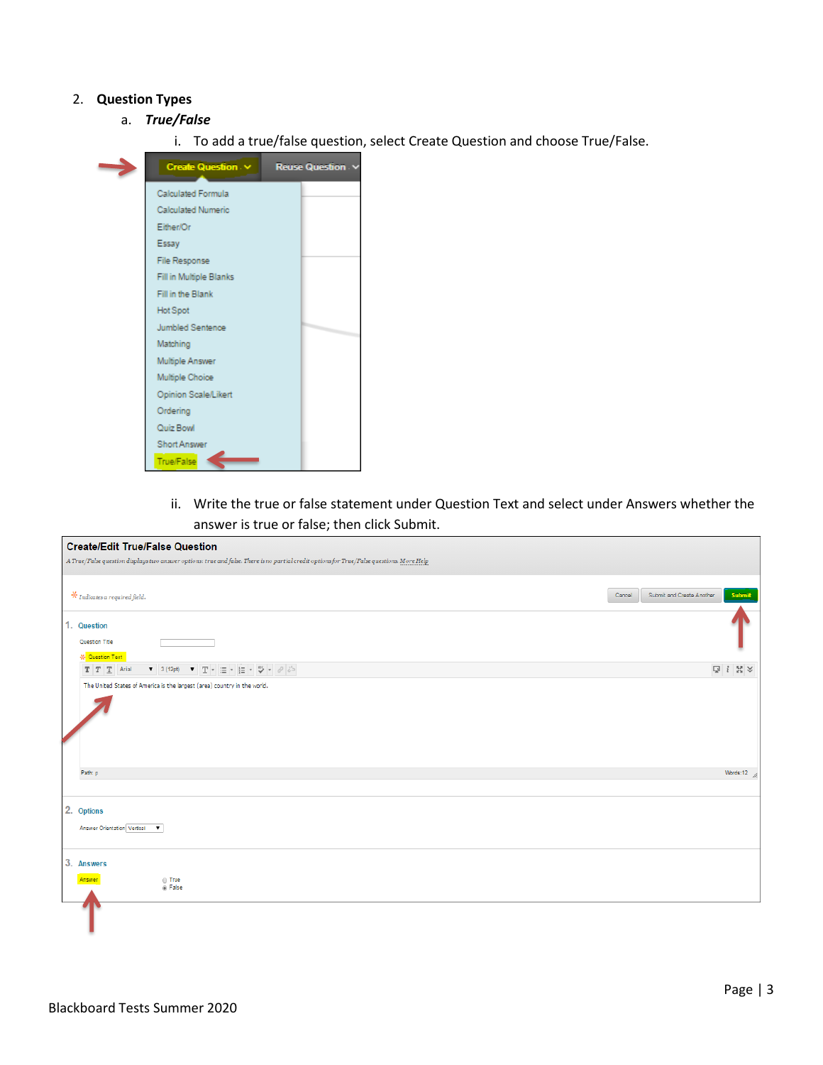### 2. **Question Types**

- a. *True/False*
	- i. To add a true/false question, select Create Question and choose True/False.



ii. Write the true or false statement under Question Text and select under Answers whether the answer is true or false; then click Submit.

| <b>Create/Edit True/False Question</b>                                                                                                                                                                                                                                                                                                                                                                                                                                                                                                       |        |                                     |
|----------------------------------------------------------------------------------------------------------------------------------------------------------------------------------------------------------------------------------------------------------------------------------------------------------------------------------------------------------------------------------------------------------------------------------------------------------------------------------------------------------------------------------------------|--------|-------------------------------------|
| A True/False question displays two answer options: true and false. There is no partial credit options for True/False questions. More Help                                                                                                                                                                                                                                                                                                                                                                                                    |        |                                     |
| $\mathcal{\textbf{F}}$ Indicates a required field.                                                                                                                                                                                                                                                                                                                                                                                                                                                                                           | Cancel | Submit<br>Submit and Create Another |
| 1. Question<br>Question Title<br><b>K</b> Question Text                                                                                                                                                                                                                                                                                                                                                                                                                                                                                      |        |                                     |
| $\begin{array}{ccccc} \bullet & \!\! 3 \; (\text{12pt}) & \!\! \bullet & \!\! \mathbb{T} \end{array} \!\! \begin{array}{c} \bullet & \!\! \mathbb{H} \end{array} \!\! \begin{array}{c} \bullet & \!\! \mathbb{H} \end{array} \!\! \begin{array}{ccc} \bullet & \!\! \mathbb{H} \end{array} \!\! \begin{array}{ccc} \bullet & \!\! \mathbb{H} \end{array} \!\! \begin{array}{ccc} \bullet & \!\! \mathbb{H} \end{array} \!\! \begin{array}{ccc} \bullet & \!\! \mathbb{H} \end{array} \!\! \begin{array}{ccc} \bullet &$<br>$T$ $T$ $T$ Arial |        |                                     |
| The United States of America is the largest (area) country in the world.                                                                                                                                                                                                                                                                                                                                                                                                                                                                     |        |                                     |
| Path: p                                                                                                                                                                                                                                                                                                                                                                                                                                                                                                                                      |        | Words:12 $\frac{1}{2}$              |
| 2. Options<br><b>Answer Orientation Vertical</b><br>$\overline{\phantom{a}}$                                                                                                                                                                                                                                                                                                                                                                                                                                                                 |        |                                     |
| 3. Answers<br>$\odot$ True<br>Answer<br><sup>®</sup> False                                                                                                                                                                                                                                                                                                                                                                                                                                                                                   |        |                                     |
|                                                                                                                                                                                                                                                                                                                                                                                                                                                                                                                                              |        |                                     |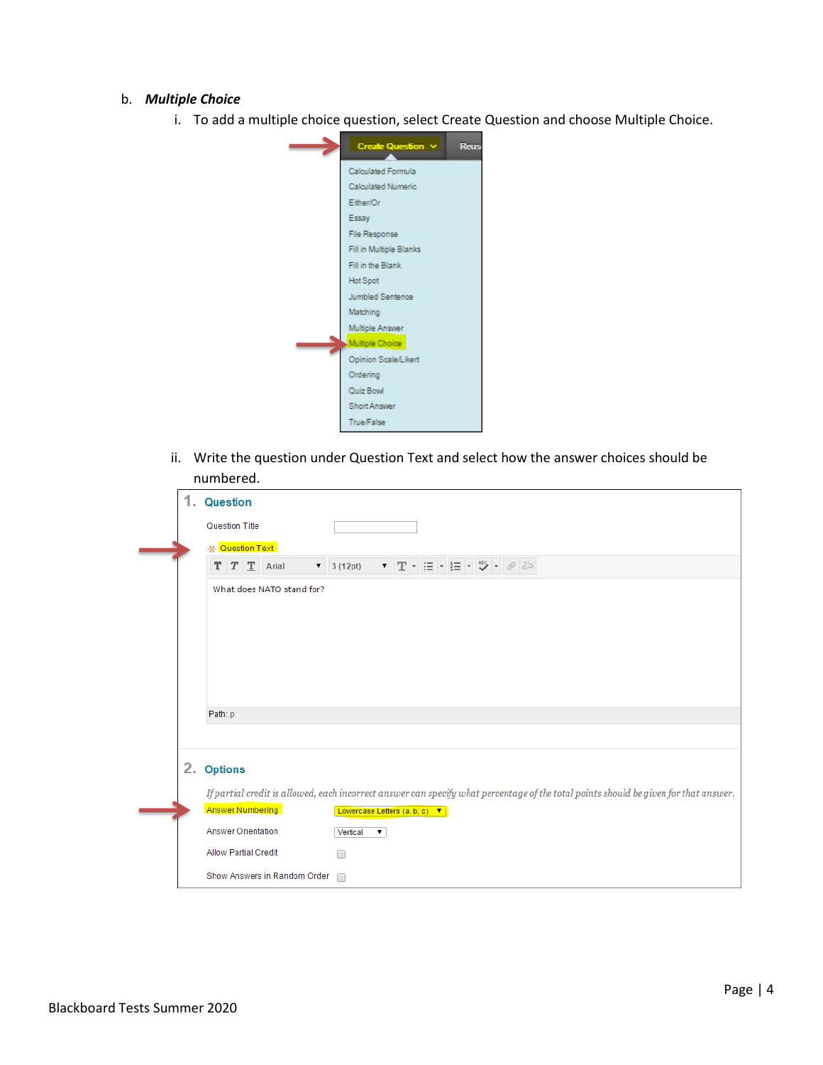#### b. *Multiple Choice*

i. To add a multiple choice question, select Create Question and choose Multiple Choice.



ii. Write the question under Question Text and select how the answer choices should be numbered.

| 1. | <b>Question</b>                                                                                                                      |
|----|--------------------------------------------------------------------------------------------------------------------------------------|
|    | <b>Question Title</b>                                                                                                                |
|    | * Question Text                                                                                                                      |
|    | ▼ 〒 - 三 - 圭 - ツ - タジ<br>$T$ $T$ $T$ Arial<br>$\bullet$ 3 (12pt)                                                                      |
|    | What does NATO stand for?                                                                                                            |
|    | Path: p                                                                                                                              |
|    |                                                                                                                                      |
|    | 2. Options                                                                                                                           |
|    | If partial credit is allowed, each incorrect answer can specify what percentage of the total points should be given for that answer. |
|    | <b>Answer Numbering</b><br>Lowercase Letters (a, b, c) ▼                                                                             |
|    | <b>Answer Orientation</b><br>Vertical<br>۷.                                                                                          |
|    | <b>Allow Partial Credit</b><br>┌                                                                                                     |
|    | Show Answers in Random Order<br>∩                                                                                                    |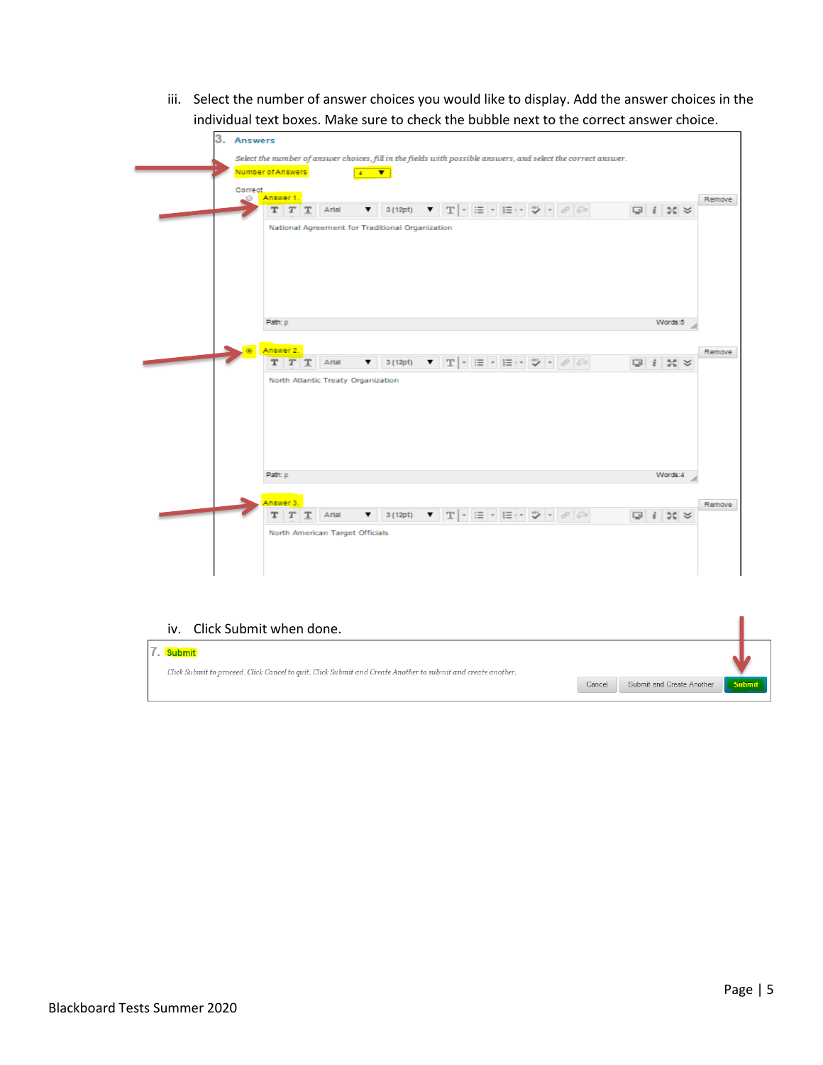iii. Select the number of answer choices you would like to display. Add the answer choices in the individual text boxes. Make sure to check the bubble next to the correct answer choice.

| 3.<br><b>Answers</b> |                                         |                                                 |              |                                                                                                               |                                                                                                                          |  |                     |         |
|----------------------|-----------------------------------------|-------------------------------------------------|--------------|---------------------------------------------------------------------------------------------------------------|--------------------------------------------------------------------------------------------------------------------------|--|---------------------|---------|
|                      | Number of Answers                       | $4 - \nabla$                                    |              | Select the number of answer choices, fill in the fields with possible answers, and select the correct answer. |                                                                                                                          |  |                     |         |
| Correct              |                                         |                                                 |              |                                                                                                               |                                                                                                                          |  |                     |         |
| 0                    | Answer 1.<br>т<br>$\boldsymbol{T}$<br>т | Artal<br>▼                                      | 3(12pt)<br>▼ |                                                                                                               | $\mathbb{T} \times \mathbb{R} \times \mathbb{R} \times \mathbb{R} \times \mathbb{R} \times \mathbb{R} \times \mathbb{R}$ |  | $Q_i$ $i$ $\approx$ | Remove. |
|                      |                                         | National Agreement for Traditional Organization |              |                                                                                                               |                                                                                                                          |  |                     |         |
|                      |                                         |                                                 |              |                                                                                                               |                                                                                                                          |  |                     |         |
|                      |                                         |                                                 |              |                                                                                                               |                                                                                                                          |  |                     |         |
|                      |                                         |                                                 |              |                                                                                                               |                                                                                                                          |  |                     |         |
|                      | Path: p                                 |                                                 |              |                                                                                                               |                                                                                                                          |  | Words:5             |         |
|                      | Answer 2.                               |                                                 |              |                                                                                                               |                                                                                                                          |  |                     | Remove  |
|                      | т<br>T                                  | Artal<br>▼                                      | 3 (12pt)     | $\blacksquare$<br>$\mathbb T$                                                                                 | $\Xi = \square \Xi \vdash \mathcal{P} \vdash \mathcal{P}$                                                                |  | $Q$ $i$ $\approx$   |         |
|                      |                                         | North Atlantic Treaty Organization              |              |                                                                                                               |                                                                                                                          |  |                     |         |
|                      |                                         |                                                 |              |                                                                                                               |                                                                                                                          |  |                     |         |
|                      |                                         |                                                 |              |                                                                                                               |                                                                                                                          |  |                     |         |
|                      |                                         |                                                 |              |                                                                                                               |                                                                                                                          |  |                     |         |
|                      | Path: p                                 |                                                 |              |                                                                                                               |                                                                                                                          |  | Words:4             |         |
|                      |                                         |                                                 |              |                                                                                                               |                                                                                                                          |  |                     |         |
|                      | Answer 3.<br>т<br>T                     | Arial<br>▼                                      | 3(12pt)      | $\blacksquare$<br>T                                                                                           | 三、 三、 ツ、                                                                                                                 |  | $Q$ $i$ $\approx$   | Remove  |
|                      |                                         | North American Target Officials                 |              |                                                                                                               |                                                                                                                          |  |                     |         |
|                      |                                         |                                                 |              |                                                                                                               |                                                                                                                          |  |                     |         |
|                      |                                         |                                                 |              |                                                                                                               |                                                                                                                          |  |                     |         |

## iv. Click Submit when done.

| 7. Submit<br>Click Submit to proceed. Click Cancel to quit. Click Submit and Create Another to submit and create another. |        |                           |        |
|---------------------------------------------------------------------------------------------------------------------------|--------|---------------------------|--------|
|                                                                                                                           | Cancel | Submit and Create Another | Submit |

ı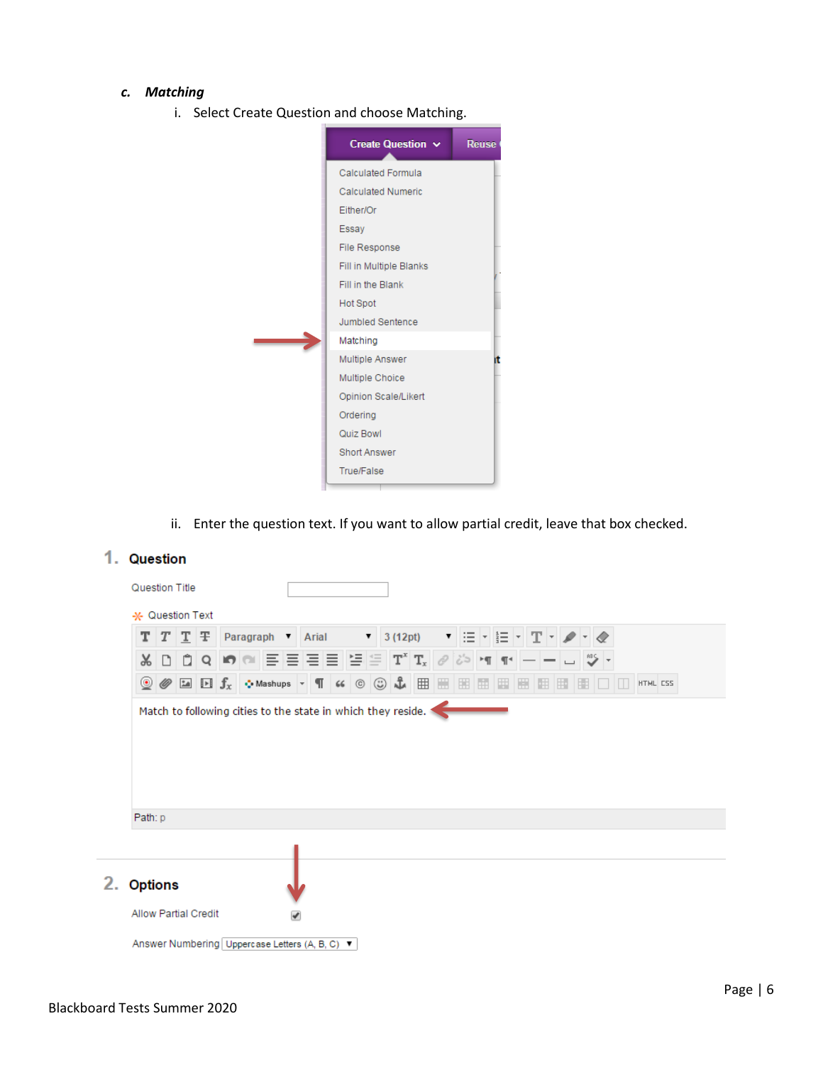### *c. Matching*

i. Select Create Question and choose Matching.



ii. Enter the question text. If you want to allow partial credit, leave that box checked.

| т<br>$T$ $T$ $T$ Paragraph $\bullet$ Arial                                                                                                                                                                                                                                                                                                                                                                                                                          |                                                                                                        |  |  | $\triangledown$ 3 (12pt) | $\mathbf{v}$ | 日*  日*  平 |  |  |         |  |          |
|---------------------------------------------------------------------------------------------------------------------------------------------------------------------------------------------------------------------------------------------------------------------------------------------------------------------------------------------------------------------------------------------------------------------------------------------------------------------|--------------------------------------------------------------------------------------------------------|--|--|--------------------------|--------------|-----------|--|--|---------|--|----------|
| Ô<br>X<br>n                                                                                                                                                                                                                                                                                                                                                                                                                                                         | $\ {\mathbf Q}\ $ in $\ {\mathbf Q}\ $ 를 틀 틀 틀 '틀 '틀 '틀 '푸' T, $\ \mathscr{P} \phi$ ' $\phi$ ' '세' 11: |  |  |                          |              |           |  |  |         |  |          |
| $\text{\textcircled{\#}}\boxtimes\text{ }f_x\text{ }\circ\text{-Mashups}\;\text{-}\P\text{ $\text{ $\text{``}}\otimes\text{ $\text{``}}$}\ \text{\text{``}}\boxplus\text{ }\boxplus\text{ }\boxplus\text{ }\boxplus\text{ }\boxplus\text{ }\boxplus\text{ }\boxplus\text{ }\boxplus\text{ }\boxplus\text{ }\boxplus\text{ }\boxplus\text{ }\boxplus\text{ }\boxplus\text{ }\boxplus\text{ }\boxplus\text{ }\text{ }\boxplus\text{ }\text{ }\text{ }\text{``}}$<br>◉ |                                                                                                        |  |  |                          |              |           |  |  | HE LILL |  | HTML CSS |
|                                                                                                                                                                                                                                                                                                                                                                                                                                                                     | Match to following cities to the state in which they reside.                                           |  |  |                          |              |           |  |  |         |  |          |
| Path: p                                                                                                                                                                                                                                                                                                                                                                                                                                                             |                                                                                                        |  |  |                          |              |           |  |  |         |  |          |
| <b>Options</b>                                                                                                                                                                                                                                                                                                                                                                                                                                                      |                                                                                                        |  |  |                          |              |           |  |  |         |  |          |

# 1. Question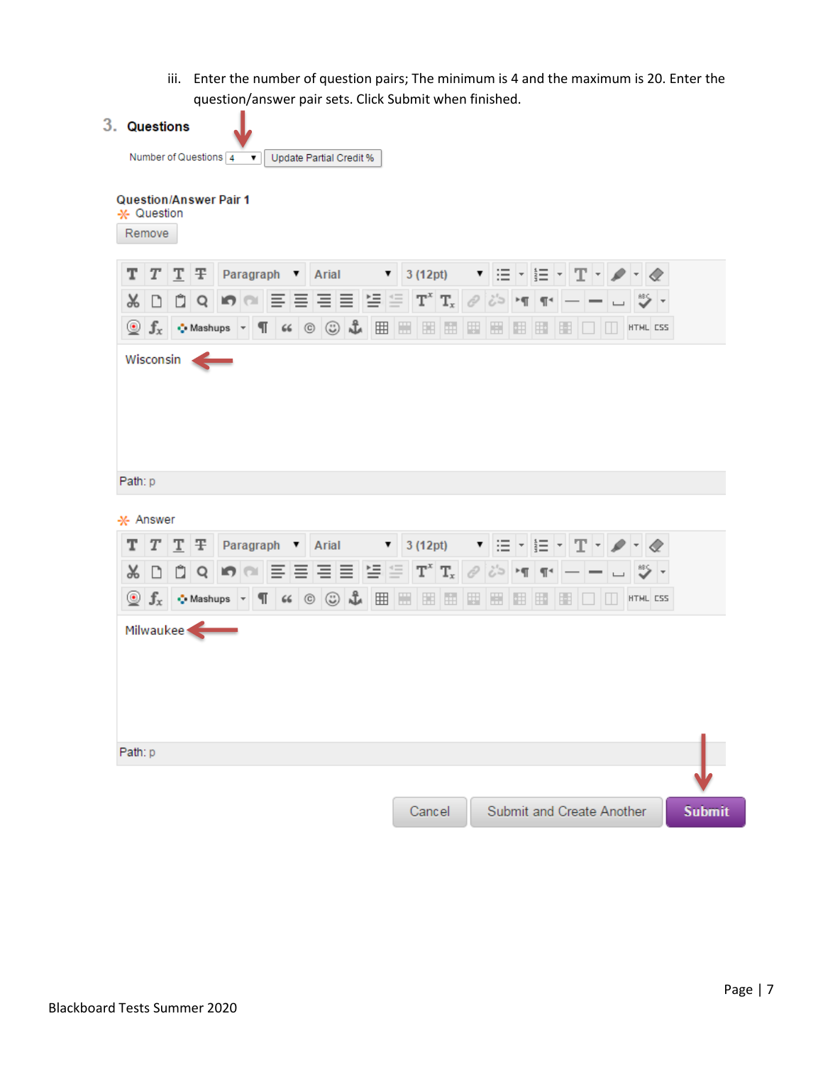iii. Enter the number of question pairs; The minimum is 4 and the maximum is 20. Enter the question/answer pair sets. Click Submit when finished.

|                               |                | Number of Questions 4 ▼ Update Partial Credit %                                                                                                                                                                                                                                                                                                                                                                                                                                                                                                                                                                                                                            |  |         |         |   |                |   |          |     |  |
|-------------------------------|----------------|----------------------------------------------------------------------------------------------------------------------------------------------------------------------------------------------------------------------------------------------------------------------------------------------------------------------------------------------------------------------------------------------------------------------------------------------------------------------------------------------------------------------------------------------------------------------------------------------------------------------------------------------------------------------------|--|---------|---------|---|----------------|---|----------|-----|--|
| <b>Question/Answer Pair 1</b> |                |                                                                                                                                                                                                                                                                                                                                                                                                                                                                                                                                                                                                                                                                            |  |         |         |   |                |   |          |     |  |
| * Question                    |                |                                                                                                                                                                                                                                                                                                                                                                                                                                                                                                                                                                                                                                                                            |  |         |         |   |                |   |          |     |  |
| Remove                        |                |                                                                                                                                                                                                                                                                                                                                                                                                                                                                                                                                                                                                                                                                            |  |         |         |   |                |   |          |     |  |
| т<br>Т                        | T <sub>T</sub> | <b>Paragraph 1</b> Arial <b>1</b> 3 (12pt) <b>1</b> $\Xi$ <b>1</b> $\overline{\Xi}$ <b>1</b> $\overline{\mathrm{T}}$ <b>1</b> $\overline{\mathrm{T}}$                                                                                                                                                                                                                                                                                                                                                                                                                                                                                                                      |  |         |         |   |                |   |          |     |  |
| $\mathsf{R}$<br>n             |                | 대회에 대표를 드리는 역을 따 때 이상에 배                                                                                                                                                                                                                                                                                                                                                                                                                                                                                                                                                                                                                                                   |  |         |         |   |                |   |          |     |  |
|                               |                | $\circledcirc$ $f_x$ $\circ$ Mashups $\circ$ $\P$ $\circ$ $\circ$ $\circledcirc$ $\mathcal{L}$                                                                                                                                                                                                                                                                                                                                                                                                                                                                                                                                                                             |  | ■ ■ ■ ■ | 圈<br>H  | 囲 | $\mathbb{H}^*$ | H | HTML CSS |     |  |
|                               |                |                                                                                                                                                                                                                                                                                                                                                                                                                                                                                                                                                                                                                                                                            |  |         |         |   |                |   |          |     |  |
| Path: p                       |                |                                                                                                                                                                                                                                                                                                                                                                                                                                                                                                                                                                                                                                                                            |  |         |         |   |                |   |          |     |  |
| * Answer                      |                |                                                                                                                                                                                                                                                                                                                                                                                                                                                                                                                                                                                                                                                                            |  |         |         |   |                |   |          |     |  |
| т<br>Т<br>X                   |                | $\boxed{\underline{\mathbf{T}}}$ $\boxed{\div}$ Paragraph $\boxed{\mathbf{v}}$ Arial $\boxed{\mathbf{v}}$ 3 (12pt) $\boxed{\mathbf{v}}$ $\boxed{\equiv}$ $\boxed{\div}$ $\boxed{\div}$ $\boxed{\mathbf{T}}$ $\boxed{\mathbf{v}}$ $\boxed{\prec}$                                                                                                                                                                                                                                                                                                                                                                                                                           |  |         |         |   |                |   |          | "⊱' |  |
| $_{\odot}$                    |                | $\mathbf{D} \parallel \mathbf{D} \parallel \mathbf{Q} \parallel \mathbf{F} \parallel \mathbf{C} \parallel \mathbf{E} \parallel \mathbf{E} \parallel \mathbf{E} \parallel \mathbf{E} \parallel \mathbf{E} \parallel \mathbf{T}^* \parallel \mathbf{T}_\mathrm{x} \parallel \mathcal{O} \parallel \mathcal{O} \parallel \mathbf{M} \parallel \mathbf{R} \parallel$<br>$\left \mathbf{f}_x\right $ $\leftrightarrow$ Mashups $\sim$ $\left \mathbf{f}\right $ $\left \mathbf{f}\right $ $\left \mathbf{f}\right $ $\left \mathbf{f}\right $ $\left \mathbf{f}\right $ $\left \mathbf{f}\right $ $\left \mathbf{f}\right $ $\left \mathbf{f}\right $ $\left \mathbf{f}\right $ |  |         | 要  題  亜 |   | $\mathbb{E}$   | Ħ | HTML CSS |     |  |
| Milwaukee<br>Path: p          |                |                                                                                                                                                                                                                                                                                                                                                                                                                                                                                                                                                                                                                                                                            |  |         |         |   |                |   |          |     |  |
|                               |                |                                                                                                                                                                                                                                                                                                                                                                                                                                                                                                                                                                                                                                                                            |  |         |         |   |                |   |          |     |  |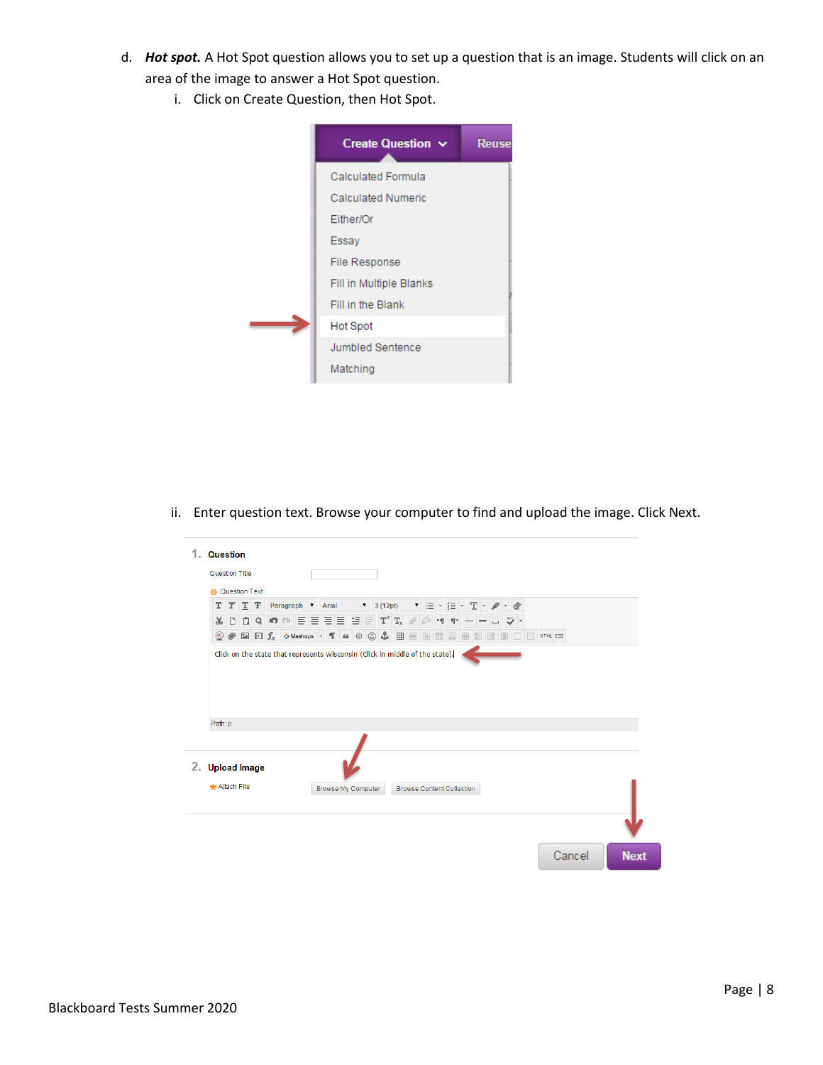- d. *Hot spot.* A Hot Spot question allows you to set up a question that is an image. Students will click on an area of the image to answer a Hot Spot question.
	- i. Click on Create Question, then Hot Spot.



ii. Enter question text. Browse your computer to find and upload the image. Click Next.

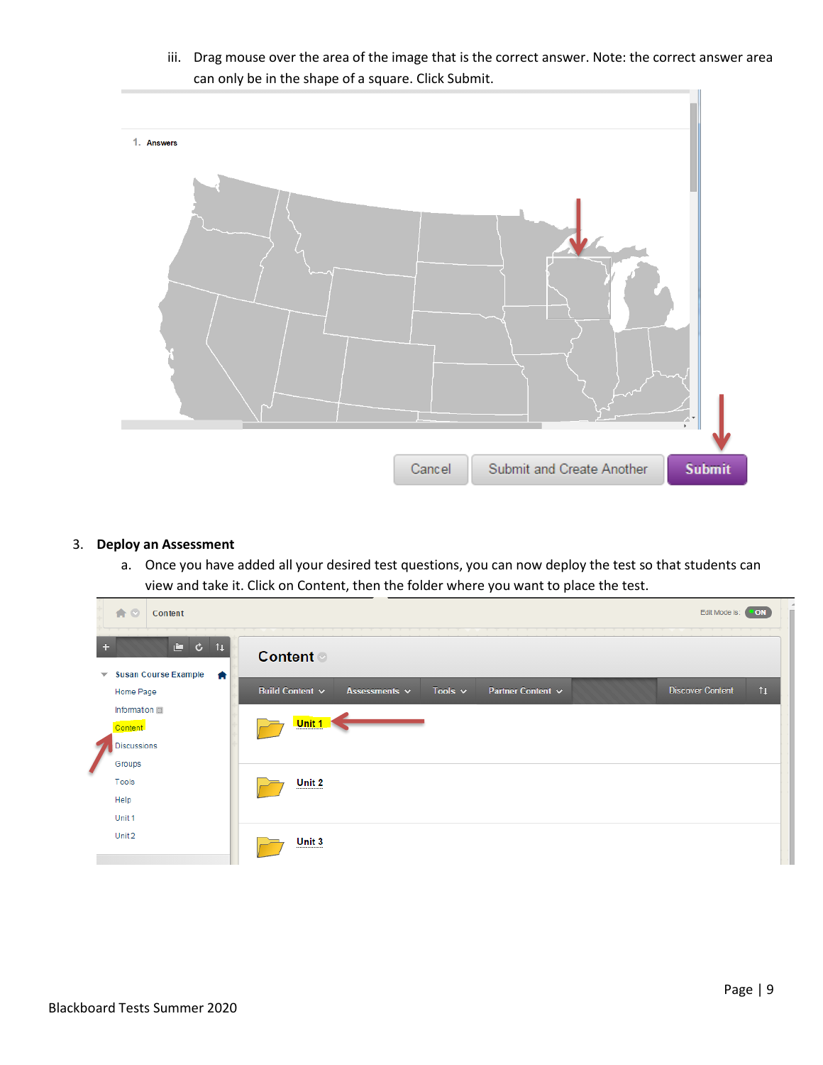- 1. Answers Cancel Submit and Create Another **Submit**
- iii. Drag mouse over the area of the image that is the correct answer. Note: the correct answer area can only be in the shape of a square. Click Submit.

### 3. **Deploy an Assessment**

a. Once you have added all your desired test questions, you can now deploy the test so that students can view and take it. Click on Content, then the folder where you want to place the test.

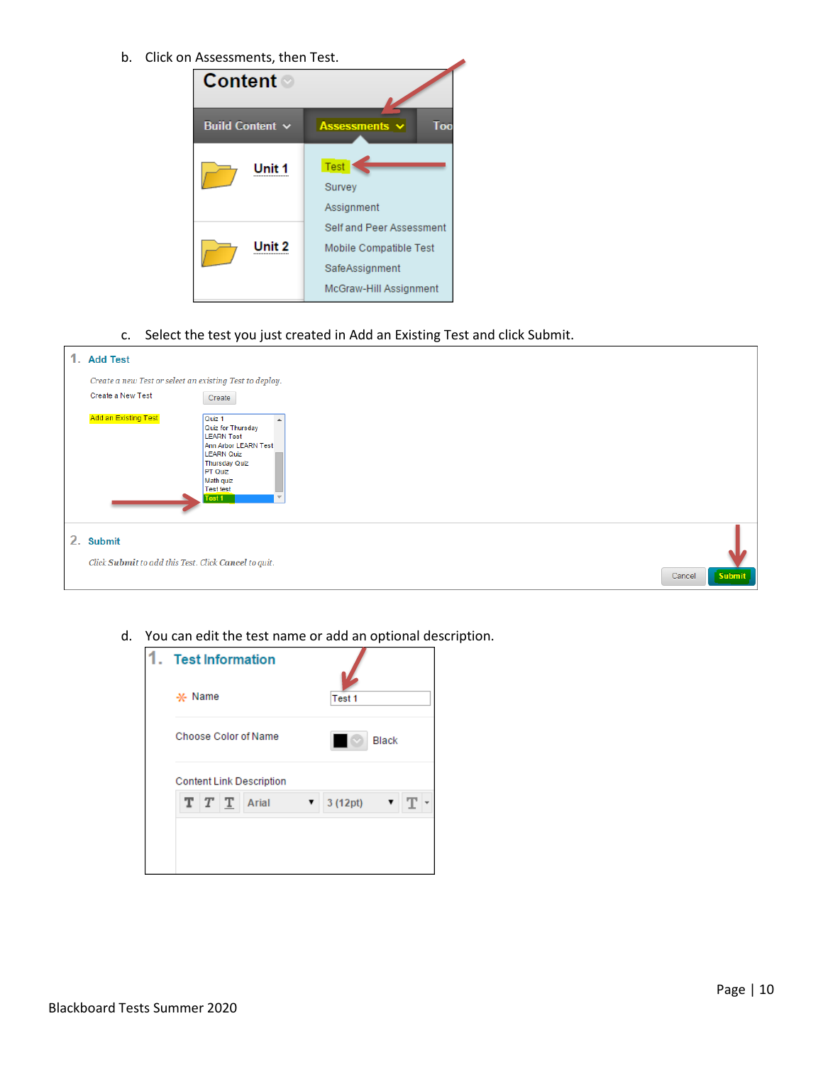b. Click on Assessments, then Test.



c. Select the test you just created in Add an Existing Test and click Submit.



d. You can edit the test name or add an optional description.

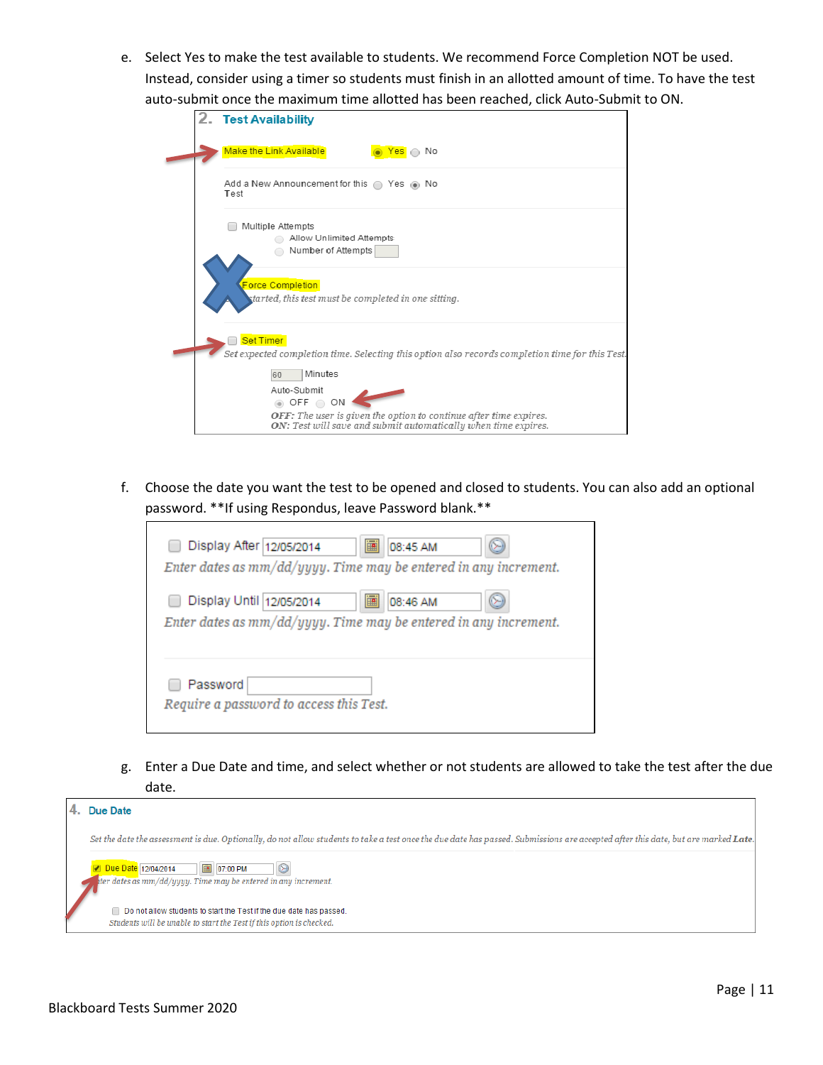e. Select Yes to make the test available to students. We recommend Force Completion NOT be used. Instead, consider using a timer so students must finish in an allotted amount of time. To have the test auto-submit once the maximum time allotted has been reached, click Auto-Submit to ON.

|  | 2. Test Availability                                                                                                                |
|--|-------------------------------------------------------------------------------------------------------------------------------------|
|  | <b>Make the Link Available</b><br>Yes ∩ No                                                                                          |
|  | Add a New Announcement for this $\bigcirc$ Yes $\circledast$ No<br>Test                                                             |
|  | Multiple Attempts<br>Allow Unlimited Attempts<br>Number of Attempts                                                                 |
|  | <b>Force Completion</b><br>started, this test must be completed in one sitting.                                                     |
|  | <b>Set Timer</b><br>Set expected completion time. Selecting this option also records completion time for this Test.                 |
|  | Minutes<br>60                                                                                                                       |
|  | Auto-Submit<br>$\circledcirc$ OFF $\circledcirc$ ON                                                                                 |
|  | OFF: The user is given the option to continue after time expires.<br>ON: Test will save and submit automatically when time expires. |

f. Choose the date you want the test to be opened and closed to students. You can also add an optional password. \*\*If using Respondus, leave Password blank.\*\*

| 圔<br>Display After 12/05/2014<br>08:45 AM<br>Enter dates as $mm/dd/yyyy$ . Time may be entered in any increment. |
|------------------------------------------------------------------------------------------------------------------|
| 圃<br>Display Until 12/05/2014<br>08:46 AM<br>Enter dates as $mm/dd/yyyy$ . Time may be entered in any increment. |
| Password<br>Require a password to access this Test.                                                              |

g. Enter a Due Date and time, and select whether or not students are allowed to take the test after the due date.